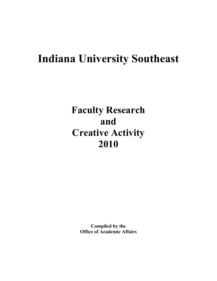# **Indiana University Southeast**

# **Faculty Research and Creative Activity 2010**

**Compiled by the Office of Academic Affairs**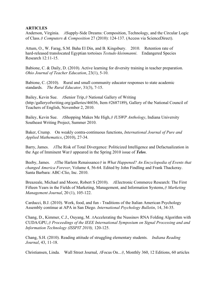### **ARTICLES**

Anderson, Virginia. *A*Supply-Side Dreams: Composition, Technology, and the Circular Logic of Class.*@ Computers & Composition* 27 (2010): 124-137. (Access via ScienceDirect).

Attum, O., W. Farag, S.M. Baha El Din, and B. Kingsbury. 2010. Retention rate of hard-released translocated Egyptian tortoises *Testudo kleinmanni*. Endangered Species Research 12:11-15.

Babione, C. & Daily, D. (2010). Active learning for diversity training in teacher preparation. *Ohio Journal of Teacher Education*, 23(1), 5-10.

Babione, C. (2010). Rural and small community educator responses to state academic standards. *The Rural Educator*, 31(3), 7-15.

Bailey, Kevin Sue. *A*Senior Trip,*@* National Gallery of Writing (http:/galleryofwriting.org/galleries/46036, Item #2687189), Gallery of the National Council of Teachers of English, November 2, 2010.

Bailey, Kevin Sue. *A*Shopping Makes Me High,*@ IUSWP Anthology*, Indiana University Southeast Writing Project, Summer 2010.

Baker, Crump. On weakly contra-continuous functions, *International Journal of Pure and Applied Mathematics*, (2010), 27-34.

Barry, James. *A*The Risk of Total Divergence: Politicized Intelligence and Defactualization in the Age of Imminent War*@* appeared in the Spring 2010 issue of *Telos*.

Beeby, James. *A*The Harlem Renaissance*@* in *What Happened? An Encyclopedia of Events that changed America Forever*, Volume 4, 56-64. Edited by John Findling and Frank Thackeray. Santa Barbara: ABC-Clio, Inc. 2010.

Breazeale, Michael and Moore, Robert S (2010). *A*Electronic Commerce Research: The First Fifteen Years in the Fields of Marketing, Management, and Information Systems,*@ Marketing Management Journal*, 20 (1), 105-122.

Carducci, B.J. (2010). Work, food, and fun - Traditions of the Italian American Psychology Assembly continue at APA in San Diego. *International Psychology Bulletin*, 14, 34-35.

Chang, D., Kimmer, C.J., Ouyang, M. *A*Accelerating the Nussinov RNA Folding Algorithm with CUDA/GPU,*@ Proceedings of the IEEE International Symposium on Signal Processing and and Information Technology (ISSPIT 2010),* 120-125.

Chang, S.H. (2010). Reading attitude of struggling elementary students. *Indiana Reading Journal*, 43, 11-18.

Christiansen, Linda. Wall Street Journal, *A*Focus On...*@*, Monthly 360, 12 Editions, 60 articles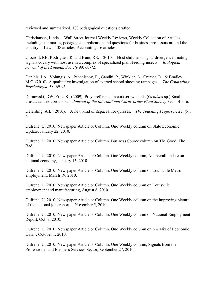reviewed and summarized, 180 pedagogical questions drafted.

Christiansen, Linda. Wall Street Journal Weekly Reviews, Weekly Collection of Articles, including summaries, pedagogical application and questions for business professors around the country. Law - 138 articles, Accounting - 6 articles.

Crocroft, RB, Rodriguez, R. and Hunt, RE. 2010. Host shifts and signal divergence: mating signals covary with host use in a complex of specialized plant-feeding insects. *Biological Journal of the Linnean Society* 99: 60-72.

Daniels, J.A., Volungis, A., Pshenishny, E., Gandhi, P., Winkler, A., Cramer, D., & Bradley, M.C. (2010). A qualitative investigation of averted school shooting rampages. *The Counseling Psychologist*, 38, 69-95.

Darnowski, DW, Fritz, S . (2009). Prey preference in corkscrew plants (*Genlisea* sp.) Small crustaceans not protozoa*. Journal of the International Carnivorous Plant Society* 39: 114-116.

Deterding, A.L. (2010). A new kind of *A*space*@* for quizzes. *The Teaching Professor, 24, (9)*, 6.

Dufrene, U. 2010: Newspaper Article or Column. One Weekly column on State Economic Update, January 22, 2010.

Dufrene, U. 2010: Newspaper Article or Column. Business Source column on The Good, The Bad.

Dufrene, U. 2010: Newspaper Article or Column. One Weekly column, An overall update on national economy, January 15, 2010.

Dufrene, U. 2010: Newspaper Article or Column. One Weekly column on Louisville Metro employment, March 19, 2010.

Dufrene, U. 2010: Newspaper Article or Column. One Weekly column on Louisville employment and manufacturing, August 6, 2010.

Dufrene, U. 2010: Newspaper Article or Column. One Weekly column on the improving picture of the national jobs report. November 5, 2010.

Dufrene, U. 2010: Newspaper Article or Column. One Weekly column on National Employment Report, Oct. 8, 2010.

Dufrene, U. 2010: Newspaper Article or Column. One Weekly column on *>*A Mix of Economic Data*=*, October 1, 2010.

Dufrene, U. 2010: Newspaper Article or Column. One Weekly column, Signals from the Professional and Business Services Sector, September 27, 2010.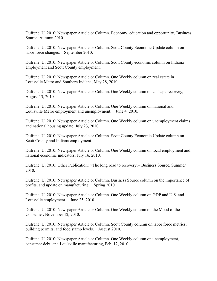Dufrene, U. 2010: Newspaper Article or Column. Economy, education and opportunity, Business Source, Autumn 2010.

Dufrene, U. 2010: Newspaper Article or Column. Scott County Economic Update column on labor force changes. September 2010.

Dufrene, U. 2010: Newspaper Article or Column. Scott County economic column on Indiana employment and Scott County employment.

Dufrene, U. 2010: Newspaper Article or Column. One Weekly column on real estate in Louisville Metro and Southern Indiana, May 28, 2010.

Dufrene, U. 2010: Newspaper Article or Column. One Weekly column on U shape recovery, August 13, 2010.

Dufrene, U. 2010: Newspaper Article or Column. One Weekly column on national and Louisville Metro employment and unemployment. June 4, 2010.

Dufrene, U. 2010: Newspaper Article or Column. One Weekly column on unemployment claims and national housing update. July 23, 2010.

Dufrene, U. 2010: Newspaper Article or Column. Scott County Economic Update column on Scott County and Indiana employment.

Dufrene, U. 2010: Newspaper Article or Column. One Weekly column on local employment and national economic indicators, July 16, 2010.

Dufrene, U. 2010: Other Publication: *>*The long road to recovery,*=* Business Source, Summer 2010.

Dufrene, U. 2010: Newspaper Article or Column. Business Source column on the importance of profits, and update on manufacturing. Spring 2010.

Dufrene, U. 2010: Newspaper Article or Column. One Weekly column on GDP and U.S. and Louisville employment. June 25, 2010.

Dufrene, U. 2010: Newspaper Article or Column. One Weekly column on the Mood of the Consumer. November 12, 2010.

Dufrene, U. 2010: Newspaper Article or Column. Scott County column on labor force metrics, building permits, and food stamp levels. August 2010.

Dufrene, U. 2010: Newspaper Article or Column. One Weekly column on unemployment, consumer debt, and Louisville manufacturing, Feb. 12, 2010.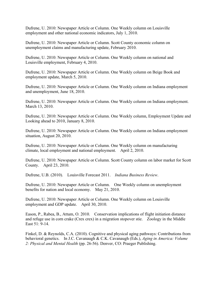Dufrene, U. 2010: Newspaper Article or Column. One Weekly column on Louisville employment and other national economic indicators, July 1, 2010.

Dufrene, U. 2010: Newspaper Article or Column. Scott County economic column on unemployment claims and manufacturing update, February 2010.

Dufrene, U. 2010: Newspaper Article or Column. One Weekly column on national and Louisville employment, February 4, 2010.

Dufrene, U. 2010: Newspaper Article or Column. One Weekly column on Beige Book and employment update, March 5, 2010.

Dufrene, U. 2010: Newspaper Article or Column. One Weekly column on Indiana employment and unemployment, June 18, 2010.

Dufrene, U. 2010: Newspaper Article or Column. One Weekly column on Indiana employment. March 13, 2010.

Dufrene, U. 2010: Newspaper Article or Column. One Weekly column, Employment Update and Looking ahead to 2010, January 8, 2010.

Dufrene, U. 2010: Newspaper Article or Column. One Weekly column on Indiana employment situation, August 20, 2010.

Dufrene, U. 2010: Newspaper Article or Column. One Weekly column on manufacturing climate, local employment and national employment. April 2, 2010.

Dufrene, U. 2010: Newspaper Article or Column. Scott County column on labor market for Scott County. April 23, 2010.

Dufrene, U.B. (2010). Louisville Forecast 2011. *Indiana Business Review*.

Dufrene, U. 2010: Newspaper Article or Column. One Weekly column on unemployment benefits for nation and local economy. May 21, 2010.

Dufrene, U. 2010: Newspaper Article or Column. One Weekly column on Louisville employment and GDP update. April 30, 2010.

Eason, P., Rabea, B., Attum, O. 2010. Conservation implications of flight initiation distance and refuge use in corn crake (Crex crex) in a migration stopover stie. Zoology in the Middle East 51: 9-14.

Finkel, D. & Reynolds, C.A. (2010). Cognitive and physical aging pathways: Contributions from behavioral genetics. In J.C. Cavanaugh & C.K. Cavanaugh (Eds.), *Aging in America: Volume 2: Physical and Mental Health* (pp. 26-56). Denver, CO: Praeger Publishing.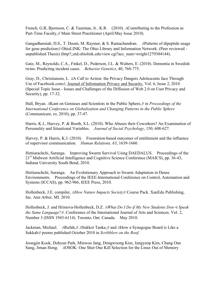French, G.R, Bjornson, C. & Taurman, Jr.. K.R. (2010). *A*Contributing to the Profession as Part-Time Faculty,*@* Main Street Practitioner (April/May Issue 2010).

Gangadharaiah, D.S., T. Doom, M. Raymer, & S. Ramachandran. *A*Patterns of dipeptide usage for gene prediction*@* OhioLINK: The Ohio Library and Information Network. (Peer reviewed unpublished Thesis) (http?;;etd.ohiolink.edu/view.cgi?acc\_num=wright1279304144).

Gatz, M., Reynolds, C.A., Finkel, D., Pederson, J.L. & Walters, E. (2010). Dementia in Swedish twins: Predicting incident cases. *Behavior Genetics*, 40, 768-775.

Gray, D., Christiansen, L. *A*A Call to Action: the Privacy Dangers Adolescents face Through Use of Facebook.com*@*, Journal of Information Privacy and Security, Vol. 6, Issue 2, 2010 (Special Topic Issue - Issues and Challenges of the Diffusion of Web 2.0 on User Privacy and Security), pp. 17-32.

Hall, Bryan. *A*Kant on Geniuses and Scientists in the Public Sphere,*@* in *Proceedings of the International Conference on Globalization and Changing Patterns in the Public Sphere*  (Communicare, ro, 2010), pp. 37-47.

Harris, K.J., Harvey, P. & Booth, S.L. (2010). Who Abuses their Coworkers? An Examination of Personality and Situational Variables. *Journal of Social Psychology*, 150, 608-627.

Harvey, P. & Harris, K.J. (2010). Frustration-based outcomes of entitlement and the influence of supervisor communication. *Human Relations, 63*, 1639-1660.

Hettiarachchi, Suranga. Improving Swarm Survival Using DAEDALUS. Proceedings of the 21<sup>st</sup> Midwest Artificial Intelligence and Cognitive Science Conference (MAICS), pp. 36-43, Indiana University South Bend, 2010.

Hettiarachchi, Suranga. An Evolutionary Approach to Swarm Adaptation in Dense Environments. Proceedings of the IEEE-International Conference on Control, Automation and Systems (ICCAS), pp. 962-966, IEEE Press, 2010.

Hollenbeck, J.E. compiler, *AHow Nature Impacts Society@* Course Pack. XanEdu Publishing, Inc. Ann Arbor, MI. 2010.

Hollenbeck, J. and Hristova-Hollenbeck, D.Z. *AWhat Do I Do if My New Students Don=t Speak the Same Language?@*. Conference of the International Journal of Arts and Sciences. Vol. 2, Number 3 (ISSN 1943-6114). Toronto, Ont. Canada. May 2010.

Jackman, Michael. *A*Rufah,*@ A*Sukkot Tanka,*@* and *A*How a Synagogue Board is Like a Sukkah*@* poems published October 2010 in *Scribblers on the Roof*.

Joongjin Kook, Dohyun Park, Minwoo Jang, Dongwoong Kim, Jungyeop Kim, Chang Oan Sung, Jiman Hong. *A*OSOK: One Shot One Kill Selection for the Linux Out of Memory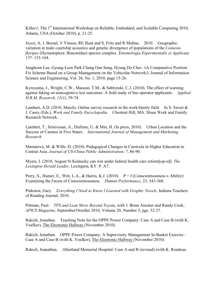Killer<sub>*@*</sub>, The 1<sup>st</sup> International Workshop on Reliable, Embedded, and Scalable Computing 2010, Atlanta, USA (October 2010), p. 21-25.

Joyce, A, J. Bernal, V Vinson, RE Hunt and S. Fritz and R Midina. 2010. Geographic variation in male courtship acoustics and genetic divergence of populations of the *Contesia flavipes* (Hymenoptera: Braconidae) species complex. *Entomologia Experimentalis et Applicata*  137: 153-164.

Junghoon Lee, Gyung-Leen Park Chang Oan Sung, Hyung Do Choi. *A*A Comparative Position Fix Scheme Based on a Group Management on the Vehicular Network*@*, Journal of Information Science and Engineering, Vol. 26, No. 1, 2010, page 15-26.

Kyroyama, J., Wright, C.W., Manson, T.M., & Sablynski, C.J. (2010). The effect of warning against faking on noncognitive test outcomes: A field study of bus operator applicants. *Applied H.R.M. Research, 12(1)*, 59-74.

Lambert, A.D. (2010, March). Online survey research in the work/family field. In S. Sweet & J. Casey (Eds.), *Work and Family Encyclopedia*. Chestnut Hill, MA: Sloan Work and Family Research Network.

Lambert, T., Srinivasan, A., Dufrene, U. & Min, H. (In press, 2010). Urban Location and the Success of Casinos in Five States. *International Journal of Management and Marketing Research*.

Mamatova, M. & Wille, D. (2010). Pedagogical Changes in Curricula in Higher Education in Central Asia. *Journal of US-China Public Administration, 7*, 86-90.

Myers, J. (2010, August 9) Kentucky can win under federal health care reform[op-ed]. *The Lexington Herald Leader*, Lexington, KY. P. A7.

Perry, S., Hunter, E., Witt, L.A., & Harris, K.J. (2010).  $P = f$  (Conscientiousness x Ability): Examining the Facets of Conscientiousness*. Human Performance*, 23, 343-360.

Pinkston, Gary. *Everything I Need to Know I Learned with Graphic Novels*, Indiana Teachers of Reading Journal, 2010.

Pittman, Paul. *TPS and Lean Move Beyond Toyota*, with J. Brian Atwater and Randy Cook, *APICS Magazine*, September/October 2010, Volume 20, Number 5, pgs. 32-37.

Rakich, Jonathan. Teaching Note for the OPPE Power Company: Case A and Case B (with K. Voelker), The Electronic Hallway (November 2010).

Rakich, Jonathan. OPPE Power Company: A Supervisory Management In-Basket Exercise - Case A and Case B (with K. Voelker), The Electronic Hallway (November 2010).

Rakich, Joanathan. *A*Hartland Memorial Hospital: Case A and B (revised) (with K. Rondeau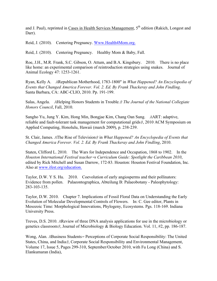and J. Paul), reprinted in Cases in Health Services Management, 5<sup>th</sup> edition (Rakich, Longest and Darr).

Reid, J. (2010). Centering Pregnancy. Www.Health4Mom.org.

Reid, J. (2010). Centering Pregnancy. Healthy Mom & Baby, Fall.

Roe, J.H., M.R. Frank, S.C. Gibson, O. Attum, and B.A. Kingsbury. 2010. There is no place like home: an experimental comparison of reintroduction strategies using snakes. Journal of Animal Ecology 47: 1253-1261.

Ryan, Kelly A. *A*Republican Motherhood, 1783-1800" in *What Happened? An Encyclopedia of Events that Changed America Forever. Vol. 2. Ed. By Frank Thackeray and John Findling*. Santa Barbara, CA: ABC-CLIO, 2010. Pp. 191-199.

Salas, Angela. *A*Helping Honors Students in Trouble.*@ The Journal of the National Collegiate Honors Council*, Fall, 2010.

Sangho Yu, Jung Y. Kim, Hong Min, Bongjae Kim, Chang Oan Sung. *A*ART: adaptive, reliable and fault-tolerant task management for computational grids*@*, 2010 ACM Symposium on Applied Computing, Honolulu, Hawaii (march 2009), p. 238-239.

St. Clair, James. *A*The Rise of Television*@* in *What Happened? An Encyclopedia of Events that Changed America Forever. Vol. 2. Ed. By Frank Thackeray and John Findling*, 2010.

Staten, Clifford L. 2010. The Wars for Independence and Occupation, 1868 to 1902. In the *Houston International Festival teacher=s Curriculum Guide: Spotlight the Caribbean 2010*, edited by Rick Mitchell and Susan Darrow, 172-83. Houston: Houston Festival Foundation, Inc. Also at www.ifest.org/education.

Taylor, D.W. Y S. Hu. 2010. Coevolution of early angiosperms and their pollinators: Evidence from pollen. Palaeontographica, Abteilung B: Palaeobotany - Paleophytology: 283-103-135.

Taylor, D.W. 2010. Chapter 7. Implications of Fossil Floral Data on Understanding the Early Evolution of Molecular Developmental Controls of Flowers. In: C. Gee editor, Plants in Mesozoic Time: Morphological Innovations, Phylogeny, Ecosystems. Pgs. 118-169. Indiana University Press.

Treves, D.S. 2010. *A*Review of three DNA analysis applications for use in the microbiology or genetics classroom*@*, Journal of Microbiology & Biology Education. Vol. 11, #2, pp. 186-187.

Wong, Alan. *A*Business Students*=* Perceptions of Corporate Social Responsibility: The United States, China, and India*@*, Corporate Social Responsibility and Environmental Management, Volume 17, Issue 5, Pages 299-310, September/October 2010, with Fu Long (China) and S. Elankumaran (India),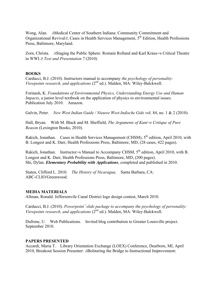Wong, Alan. *A*Medical Center of Southern Indiana: Community Commitment and Organizational Revival*@*, Cases in Health Services Management, 5th Edition, Health Professions Press, Baltimore, Maryland.

Zorn, Christa. *A*Staging the Public Sphere: Romain Rolland and Karl Kraus*=*s Critical Theatre in WWI.*@ Text and Presentation 7* (2010)

# **BOOKS**

Carducci, B.J. (2010). Instructors manual to accompany *the psychology of personality: Viewpoints research, and applications* (2<sup>nd</sup> ed.). Malden, MA: Wiley-Balckwell.

Forinash, K. *Foundations of Environmental Physics, Understanding Energy Use and Human Impacts*, a junior level textbook on the application of physics to environmental issues. Publication July 2010. Amazon.

Galvin, Peter. *New West Indian Guide / Nieuwe West-Indische Gids* vol. 84, no. 1 & 2 (2010).

Hall, Bryan. With M. Black and M. Sheffield, *The Arguments of Kant=s Critique of Pure Reason* (Lexington Books, 2010).

Rakich, Jonathan. Cases in Health Services Management (CHSM), 5<sup>th</sup> edition, April 2010, with B. Longest and K. Darr, Health Professions Press, Baltimore, MD, (28 cases, 422 pages).

Rakich, Jonathan. Instructor=s Manual to Accompany CHSM, 5<sup>th</sup> edition, April 2010, with B. Longest and K. Darr, Health Professions Press, Baltimore, MD, (200 pages). Shi, Dylan. *Elementary Probability with Applications*, completed and published in 2010.

Staten, Clifford L. 2010. *The History of Nicaragua*. Santa Barbara, CA: ABC-CLIO/Greenwood.

# **MEDIA MATERIALS**

Allman, Ronald. Jeffersonvile Canal District logo design contest, March 2010.

Carducci, B.J. (2010). *Powerpoint<sup>7</sup> slide package to accompany the psychology of personality: Viewpoints research, and applications (2<sup>nd</sup> ed.).* Malden, MA: Wiley-Balckwell.

Dufrene, U. Web Publications. Invited blog contribution to Greater Louisville project. September 2010.

#### **PAPERS PRESENTED**

Accardi, Maria T. Library Orientation Exchange (LOEX) Conference, Dearborn, MI, April 2010, Breakout Session Presenter: *A*Bolstering the Bridge to Instructional Improvement: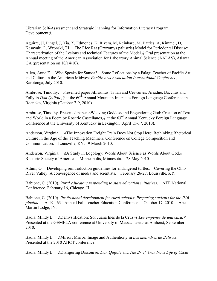Librarian Self-Assessment and Strategic Planning for Information Literacy Program Development*@*.

Aguirre, JI, Pingel, J, Xia, X, Edmonds, K, Rivera, M, Reinhard, M, Battles, A, Kimmel, D, Kesavalu, L, Wronski, TJ. The Rice Rat (Oryzomys palustris) Model for Periodontal Disease: Characterization of the Lesions and technical Features of the Model.*@* Oral presentation at the Annual meeting of the American Association for Laboartory Animal Science (AALAS), Atlanta, GA (presentation on  $10/14/10$ ).

Allen, Anne E. Who Speaks for Samoa? Some Reflections by a Palagi Teacher of Pacific Art and Culture in the American Midwest *Pacific Arts Association International Conference*, Rarotonga, July 2010.

Ambrose, Timothy. Presented paper *A*Erasmus, Titian and Cervantes: Ariadne, Bacchus and Folly in *Don Quijote*,  $\theta$  at the 60<sup>th</sup> Annual Mountain Interstate Foreign Language Conference in Roanoke, Virginia (October 7-9, 2010).

Ambrose, Timothy. Presented paper *A*Weaving Goddess and Engendering God: Creation of Text and World in a Poem by Rosario Castellanos,*@* at the 63rd Annual Kentucky Foreign Language Conference at the University of Kentucky in Lexington (April 15-17, 2010).

Anderson, Virginia. *A*The Innovation Freight Train Does Not Stop Here: Rethinking Rhetorical Culture in the Age of the Teaching Machine.*@* Conference on College Composition and Communication. Louisville, KY. 19 March 2010.

Anderson, Virginia. *A*A Study in Logology: Words About Science as Words About God.*@* Rhetoric Society of America. Minneapolis, Minnesota. 28 May 2010.

Attum, O. Developing reintroduction guidelines for endangered turtles. Covering the Ohio River Valley: A convergence of media and scientists. February 26-27. Louisville, KY.

Babione, C. (2010). *Rural educators responding to state education initiatives*. ATE National Conference, February 16, Chicago, IL.

Babione, C. (2010). *Professional development for rural schools: Preparing students for the P16 pipeline.* ATE-I 63<sup>rd</sup> Annual Fall Teacher Education Conference. October 17, 2010. Abe Martin Lodge, IN.

Badia, Mindy E. *A*Demystification: Sor Juana Ines de la Cruz*=*s *Los empenos de una casa*.*@* Presented at the GEMELA conference at University of Massachusetts at Amherst, September 2010.

Badia, Mindy E. *A*Mirror, Mirror: Image and Authenticity in *Los melindres de Belisa*.*@* Presented at the 2010 AHCT conference.

Badia, Mindy E. *A*Disfiguring Discourse: *Don Quijote* and *The Brief, Wondrous Life of Oscar*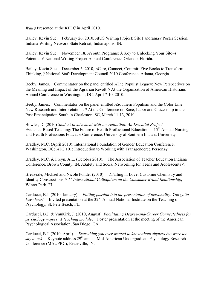*Wau@* Presented at the KFLC in April 2010.

Bailey, Kevin Sue. February 26, 2010, *A*IUS Writing Project: Site Panorama*@* Poster Session, Indiana Writing Network State Retreat, Indianapolis, IN.

Bailey, Kevin Sue. November 18, *A*Youth Programs: A Key to Unlocking Your Site*=*s Potential,*@* National Writing Project Annual Conference, Orlando, Florida.

Bailey, Kevin Sue. December 6, 2010, *A*Care, Connect, Commit: Five Books to Transform Thinking,*@* National Staff Development Council 2010 Conference, Atlanta, Georgia.

Beeby, James. Commentator on the panel entitled *A*The Populist Legacy: New Perspectives on the Meaning and Impact of the Agrarian Revolt.*@* At the Organization of American Historians Annual Conference in Washington, DC, April 7-10, 2010.

Beeby, James. Commentator on the panel entitled *A*Southern Populism and the Color Line: New Research and Interpretations.*@* At the Conference on Race, Labor and Citizenship in the Post Emancipation South in Charleston, SC, March 11-13, 2010.

Bowles, D. (2010) *Student Involvement with Accreditation: An Essential Project*. Evidence-Based Teaching: The Future of Health Professional Education. 15<sup>th</sup> Annual Nursing and Health Professions Educator Conference, University of Southern Indiana University.

Bradley, M.C. (April 2010). International Foundation of Gender Education Conference. Washington, DC; *A*TG 101: Introduction to Working with Transgendered Persons*@*.

Bradley, M.C. & Freyn, A.L. (October 2010). The Association of Teacher Education Indiana Conference. Brown County, IN, *A*Safety and Social Networking for Teens and Adolescents*@*.

Breazeale, Michael and Nicole Ponder (2010). *A*Falling in Love: Customer Chemistry and Identity Constructions,*@ 1st International Colloquium on the Consumer Brand Relationship*, Winter Park, FL.

Carducci, B.J. (2010, January). *Putting passion into the presentation of personality: You gotta have heart*. Invited presentation at the 32<sup>nd</sup> Annual National Institute on the Teaching of Psychology, St. Pete Beach, FL.

Carducci, B.J. & VanKirk, J. (2010, August). *Facilitating Degree-and-Career Connectedness for psychology majors: A teaching module*. Poster presentation at the meeting of the American Psychological Association, San Diego, CA.

Carducci, B.J. (2010, April). *Everything you ever wanted to know about shyness but were too shy to ask.* Keynote address 29<sup>th</sup> annual Mid-American Undergraduate Psychology Research Conference (MAUPRC), Evansville, IN.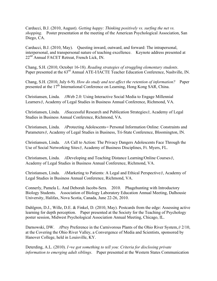Carducci, B.J. (2010, August). *Getting happy: Thinking positively vs. surfing the net vs. shopping*. Poster presentation at the meeting of the American Psychological Association, San Diego, CA.

Carducci, B.J. (2010, May). Questing inward, outward, and forward: The intrapersonal, interpersonal, and transpersonal nature of teaching excellence. Keynote address presented at 22<sup>nd</sup> Annual FACET Retreat, French Lick, IN.

Chang, S.H. (2010, October 16-18). *Reading strategies of struggling elementary students*. Paper presented at the 63<sup>rd</sup> Annual ATE-I/IACTE Teacher Education Conference, Nashville, IN.

Chang, S.H. (2010, July 6-9). *How do study and test affect the retention of information?* Paper presented at the 17<sup>th</sup> International Conference on Learning, Hong Kong SAR, China.

Christiansen, Linda. *A*Web 2.0: Using Interactive Social Media to Engage Millennial Learners*@*, Academy of Legal Studies in Business Annual Conference, Richmond, VA.

Christiansen, Linda. *A*Successful Research and Publication Strategies*@*, Academy of Legal Studies in Business Annual Conference, Richmond, VA.

Christiansen, Linda. *A*Protecting Adolescents*=* Personal Information Online: Constraints and Parameters*@*, Academy of Legal Studies in Business, Tri-State Conference, Bloomington, IN.

Christiansen, Linda. *A*A Call to Action: The Privacy Dangers Adolescents Face Through the Use of Social Networking Sites*@*, Academy of Business Disciplines, Ft. Myers, FL.

Christiansen, Linda. *A*Developing and Teaching Distance Learning/Online Courses*@*, Academy of Legal Studies in Business Annual Conference, Richmond, VA.

Christiansen, Linda. *A*Marketing to Patients: A Legal and Ethical Perspective*@*, Academy of Legal Studies in Business Annual Conference, Richmond, VA.

Connerly, Pamela L. And Deborah Jacobs-Sera. 2010. Phagehunting with Introductory Biology Students. Association of Biology Laboratory Education Annual Meeting, Dalhousie University, Halifax, Nova Scotia, Canada, June 22-26, 2010.

Dahlgren, D.J., Wille, D.E. & Finkel, D. (2010, May). Postcards from the edge: Assessing active learning for depth perception. Paper presented at the Society for the Teaching of Psychology poster session, Midwest Psychological Association Annual Meeting, Chicago, IL.

Darnowski, DW. *A*Prey Preference in the Carnivorous Plants of the Ohio River System,*@* 2/10, at the Covering the Ohio River Valley, a Convergence of Media and Scientists, sponsored by Hanover College, held in Louisville, KY.

Deterding, A.L. (2010). *I=ve got something to tell you: Criteria for disclosing private information to emerging adult siblings*. Paper presented at the Western States Communication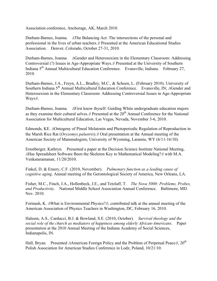Association conference, Anchorage, AK, March 2010.

Durham-Barnes, Joanna. *A*The Balancing Act: The intersections of the personal and professional in the lives of urban teachers.*@* Presented at the American Educational Studies Association. Denver, Colorado, October 27-31, 2010.

Durham-Barnes, Joanna. *A*Gender and Heterosexism in the Elementary Classroom: Addressing Controversial (?) Issues in Age-Appropriate Ways.*@* Presented at the University of Southern Indiana 5th Annual Multicultural Education Conference. Evansville, Indiana. February 27, 2010.

Durham-Barnes, J.A., Freyn, A.L., Bradley, M.C., & Schoen, L. (February 2010). University of Southern Indiana 5th Annual Multicultural Education Conference. Evansville, IN; *A*Gender and Heterosexism in the Elementary Classroom: Addressing Controversial Issues in Age-Appropriate Ways*@*.

Durham-Barnes, Joanna. *A*First know thyself: Guiding White undergraduate education majors as they examine their cultural selves. *@* Presented at the 20<sup>th</sup> Annual Conference for the National Association for Multicultural Education, Las Vegas, Nevada, November 3-6, 2010.

Edmonds, KE. *A*Ontogeny of Pineal Melatonin and Photoperiodic Regulation of Reproduction in the Marsh Rice Rat (*Oryzomys palustris*).*@* Oral presentation at the Annual meeting of the American Society of Mammalogists, University of Wyoming, Laramie, WY (6/11-16/10).

Ernstberger, Kathryn. Presented a paper at the Decision Science Institute National Meeting, *A*Has Spreadsheet Software Been the Skeleton Key to Mathematical Modeling?*@* with M.A. Venkataramanan, 11/20/2010.

Finkel, D. & Emery, C.F. (2010, November). *Pulmonary function as a leading cause of cognitive aging*. Annual meeting of the Gerontological Society of America, New Orleans, LA.

Fisher, M.C., Finch, J.A., Hollenbeck, J.E., and Tetzlaff, T. *The Nova 5000: Problems, Probes, and Productivity*. National Middle School Association Annual Conference. Baltimore, MD. Nov. 2010.

Forinash, K. *A*What is Environmental Physics?*@*, contributed talk at the annual meeting of the American Association of Physics Teachers in Washington, DC, February 16, 2010.

Haleem, A.S., Carducci, B.J. & Bowland, S.E. (2010, October). *Survival theology and the social role of the church as mediators of happiness among elderly African-Americans*. Paper presentation at the 2010 Annual Meeting of the Indiana Academy of Social Sciences, Indianapolis, IN.

Hall, Bryan. Presented *AAmerican Foreign Policy and the Problem of Perpetual Peace* @, 20<sup>th</sup> Polish Association for American Studies Conference in Lodz, Poland, 10/21/10.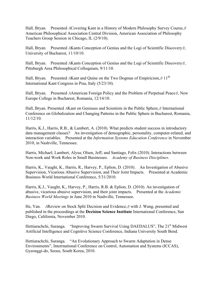Hall, Bryan. Presented *A*Covering Kant in a History of Modern Philosophy Survey Course,*@* American Philosophical Association Central Division, American Association of Philosophy Teachers Group Session in Chicago, IL (2/9/10).

Hall, Bryan. Presented *A*Kants Conception of Genius and the Logi of Scientific Discovery*@*, University of Bucharest, 11/10/10.

Hall, Bryan. Presented *A*Kants Conception of Genius and the Logi of Scientific Discovery*@*, Pittsburgh Area Philosophical Colloquium, 9/11/10.

Hall, Bryan. Presented *A*Kant and Quine on the Two Dogmas of Empiricism,  $\theta$  11<sup>th</sup> International Kant Congress in Pisa, Italy (5/23/10).

Hall, Bryan. Presented *A*American Foreign Policy and the Problem of Perpetual Peace*@*, New Europe College in Bucharest, Romania, 12/14/10.

Hall, Bryan. Presented *A*Kant on Geniuses and Scientists in the Public Sphere,*@* International Conference on Globalization and Changing Patterns in the Public Sphere in Bucharest, Romania, 11/12/10.

Harris, K.J., Harris, R.B., & Lambert, A. (2010). What predicts student success in introductory data management classes? An investigation of demographic, personality, computer-related, and interaction variables. Presented at the *Information Systems Education Conference* in November 2010, in Nashville, Tennessee.

Harris, Michael; Lambert, Alysa; Olsen, Jeff; and Santiago, Felix (2010). Interactions between Non-work and Work Roles in Small Businesses. *Academy of Business Disciplines*.

Harris, K., Vaught, K., Harris, R., Harvey, P., Eplion, D. (2010). An Investigation of Abusive Supervision, Vicarious Abusive Supervision, and Their Joint Impacts. Presented at Academic Business World International Conference, 5/31/2010.

Harris, K.J., Vaught, K., Harvey, P., Harris, R.B. & Eplion, D. (2010). An investigation of abusive, vicarious abusive supervision, and their joint impacts. Presented at the *Academic Business World Meetings* in June 2010 in Nashville, Tennessee.

He, Yan. *A*Review on Stock Split Decision and Evidence,*@* with J. Wang, presented and published in the proceedings at the **Decision Science Institute** International Conference, San Diego, California, November 2010.

Hettiarachchi, Suranga. "Improving Swarm Survival Using DAEDALUS", The 21<sup>st</sup> Midwest Artificial Intelligence and Cognitive Science Conference, Indiana University South Bend.

Hettiarachchi, Suranga. "An Evolutionary Approach to Swarm Adaptation in Dense Environments", Interrnational Conference on Control, Automation and Systems (ICCAS), Gyeonggi-do, Seous, South Korea, 2010.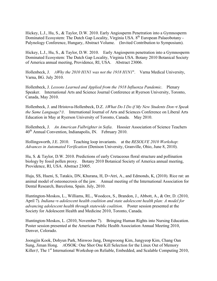Hickey, L.J., Hu, S., & Taylor, D.W. 2010. Early Angiosperm Penetration into a Gymnosperm Dominated Ecosystem: The Dutch Gap Locality, Virginia USA. 8<sup>th</sup> European Palaeobotany -Palynology Conference, Hungary, Abstract Volume. (Invited Contribution to Symposium).

Hickey, L.J., Hu, S., & Taylor, D.W. 2010. Early Angiosperm penetration into a Gymnosperm Dominated Ecosystem: The Dutch Gap Locality, Virginia USA. Botany 2010 Botanical Society of America annual meeting, Providence, RI, USA. Abstract 23006.

Hollenbeck, J. *AWhy the 2010 H1N1 was not the 1918 H1N1*". Varna Medical University, Varna, BG. July 2010.

Hollenbeck, J. *Lessons Learned and Applied from the 1918 Influenza Pandemic*. Plenary Speaker. International Arts and Science Journal Conference at Ryerson University, Toronto, Canada, May 2010.

Hollenbeck, J. and Hristova-Hollenbeck, D.Z. *AWhat Do I Do if My New Students Don=t Speak the Same Language?@*. International Journal of Arts and Sciences Conference on Liberal Arts Education in May at Ryerson University of Toronto, Canada. May 2010.

Hollenbeck, J. *An American Fulbrighter in Sofia*. Hoosier Association of Science Teachers 40th Annual Convention, Indianapolis, IN. February 2010.

Hollingsworth, J.E. 2010. Teaching loop invariants. at the *RESOLVE 2010 Workshop*: *Advances in Automated Verification* (Denison University, Granville, Ohio, June 8, 2010).

Hu, S. & Taylor, D.W. 2010. Predictions of early Cretaceous floral structure and pollination biology by fossil pollen proxy. Botany 2010 Botanical Society of America annual meeting, Providence, RI, USA. Abstract 23005.

Huja, SS, Hueni, S, Tatakis, DN, Khurana, H, D*=*Atri, A., and Edmonds, K, (2010). Rice rat: an animal model of osteonecrosis of the jaw. Annual meeting of the International Association for Dental Research, Barcelona, Spain. July, 2010.

Huntington-Moskos, L., Williams, RL., Woodcox, S., Brandon, J., Abbott, A., & Orr, D. (2010, April 7). *Indiana=s adolescent health coalition and state adolescent health plan: A model for advancing adolescent health through statewide coalition*. Poster session presented at the Society for Adolescent Health and Medicine 2010, Toronto, Canada.

Huntington-Moskos, L. (2010, November 7). Bringing Human Rights into Nursing Education. Poster session presented at the American Public Health Association Annual Meeting 2010, Denver, Colorado.

Joongjin Kook, Dohyun Park, Minwoo Jang, Dongwoong Kim, Jungyeop Kim, Chang Oan Sung, Jiman Hong. *A*OSOK: One Shot One Kill Selection for the Linux Out of Memory Killer<sub>*@*</sub>, The 1<sup>st</sup> International Workshop on Reliable, Embedded, and Scalable Computing 2010,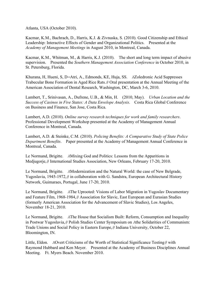Atlanta, USA (October 2010).

Kacmar, K.M., Bachrach, D., Harris, K.J. & Zivnuska, S. (2010). Good Citizenship and Ethical Leadership: Interactive Effects of Gender and Organizational Politics. Presented at the *Academy of Management Meetings* in August 2010, in Montreal, Canada.

Kacmar, K.M., Whitman, M., & Harris, K.J. (2010). The short and long term impact of abusive supervision. Presented the *Southern Management Association Conference* in October 2010, in St. Petersburg, Florida.

Khurana, H, Hueni, S, D*=*Atri, A., Edmonds, KE, Huja, SS. *A*Zoledronic Acid Suppresses Trabecular Bone Formation in Aged Rice Rats.*@* Oral presentation at the Annual Meeting of the American Association of Dental Research, Washington, DC, March 3-6, 2010.

Lambert, T., Srinivasan, A., Dufrene, U.B., & Min, H. (2010, May). *Urban Location and the Success of Casinos in Five States: A Data Envelope Analysis*. Costa Rica Global Conference on Business and Finance, San Jose, Costa Rica.

Lambert, A.D. (2010). *Online survey research techniques for work and family researchers*. Professional Development Workshop presented at the Academy of Management Annual Conference in Montreal, Canada.

Lambert, A.D. & Steinke, C.M. (2010). *Policing Benefits: A Comparative Study of State Police Department Benefits*. Paper presented at the Academy of Management Annual Conference in Montreal, Canada.

Le Normand, Brigitte. *A*Mixing God and Politics: Lessons from the Apparitions in Medjugorje,*@* International Studies Association, New Orleans, February 17-20, 2010.

Le Normand, Brigitte. *A*Modernization and the Natural World: the case of New Belgrade, Yugoslavia, 1945-1972,*@* in collaboration with G. Sandstra, European Architectural History Network, Guimaraes, Portugal, June 17-20, 2010.

Le Normand, Brigitte. *A*The Uprooted: Visions of Labor Migration in Yugoslav Documentary and Feature Film, 1968-1984,*@* Association for Slavic, East European and Eurasian Studies (formerly American Association for the Advancement of Slavic Studies), Los Angeles, November 18-21, 2010.

Le Normand, Brigitte. *A*The House that Socialism Built: Reform, Consumption and Inequality in Postwar Yugoslavia,*@* Polish Studies Center Symposium on *A*the Solidarities of Communism: Trade Unions and Social Policy in Eastern Europe,*@* Indiana University, October 22, Bloomington, IN.

Little, Eldon. *A*Overt Criticisms of the Worth of Statistical Significance Testing*@* with Raymond Hubbard and Ken Meyer. Presented at the Academy of Business Disciplines Annual Meeting. Ft. Myers Beach. November 2010.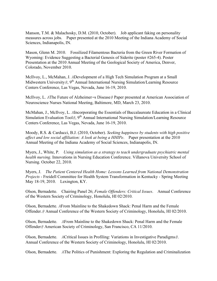Manson, T.M. & Malachosky, D.M. (2010, October). Job applicant faking on personality measures across jobs. Paper presented at the 2010 Meeting of the Indiana Academy of Social Sciences, Indianapolis, IN.

Mason, Glenn M. 2010. Fossilized Filamentous Bacteria from the Green River Formation of Wyoming: Evidence Suggesting a Bacterial Genesis of Siderite (poster #265-4). Poster Presentation at the 2010 Annual Meeting of the Geological Society of America, Denver, Colorado, November 2010.

McIlvoy, L., McMahan, J. *A*Development of a High Tech Simulation Program at a Small Midwestern University *@*, 9<sup>th</sup> Annual International Nursing Simulation/Learning Resource Centers Conference, Las Vegas, Nevada, June 16-19, 2010.

McIlvoy, L. *A*The Future of Alzheimer*=*s Disease*@* Paper presented at American Association of Neuroscience Nurses National Meeting, Baltimore, MD, March 23, 2010.

McMahan, J., McIlvoy, L. *A*Incorporating the Essentials of Baccalaureate Education in a Clinical Simulation Evaluation Tool<sub>*@*, 9<sup>th</sup> Annual International Nursing Simulation/Learning Resource</sub> Centers Conference, Las Vegas, Nevada, June 16-19, 2010.

Moody, R.S. & Carducci, B.J. (2010, October). *Seeking happiness by students with high positive affect and low social affiliation: A look at being a HHIPe*. Paper presentation at the 2010 Annual Meeting of the Indiana Academy of Social Sciences, Indianapolis, IN.

Myers, J., White, P. *Using simulation as a strategy to teach undergraduate psychiatric mental health nursing*. Innovations in Nursing Education Conference. Villanova University School of Nursing. October 22, 2010.

Myers, J. *The Patient Centered Health Home: Lessons Learned from National Demonstration Projects* - Freidell Committee for Health System Transformation in Kentucky - Spring Meeting May 18-19, 2010. Lexington, KY.

Olson, Bernadette. Chairing Panel 26; *Female Offenders: Critical Issues*. Annual Conference of the Western Society of Criminology, Honolulu, HI 02/2010.

Olson, Bernadette. *A*From Mainline to the Shakedown Shack: Penal Harm and the Female Offender.*@* Annual Conference of the Western Society of Criminology, Honolulu, HI 02/2010.

Olson, Bernadette. *A*From Mainline to the Shakedown Shack: Penal Harm and the Female Offender*@* American Society of Criminology, San Francisco, CA 11/2010.

Olson, Bernadette. *A*Critical Issues in Profiling: Variations in Investigative Paradigms*@*. Annual Conference of the Western Society of Criminology, Honolulu, HI 02/2010.

Olson, Bernadette. *A*The Politics of Punishment: Exploring the Regulation and Criminalization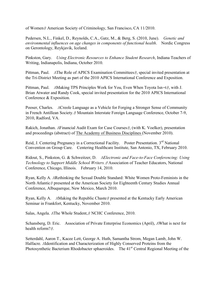of Women*@* American Society of Criminology, San Francisco, CA 11/2010.

Pedersen, N.L., Finkel, D., Reynolds, C.A., Gatz, M., & Berg, S. (2010, June). *Genetic and environmental influences on age changes in components of functional health*. Nordic Congress on Gerontology, Reykjavik, Iceland.

Pinkston, Gary. *Using Electronic Resources to Enhance Student Research*, Indiana Teachers of Writing, Indianapolis, Indiana, October 2010.

Pittman, Paul. *A*The Role of APICS Examination Committees*@*, special invited presentation at the Tri-District Meeting as part of the 2010 APICS International Conference and Exposition.

Pittman, Paul. *A*Making TPS Principles Work for You, Even When Toyota Isn*=*t*@*, with J. Brian Atwater and Randy Cook, special invited presentation for the 2010 APICS International Conference & Exposition.

Pooser, Charles. *A*Creole Language as a Vehicle for Forging a Stronger Sense of Community in French Antillean Society.*@* Mountain Interstate Foreign Language Conference, October 7-9, 2010, Radford, VA.

Rakich, Jonathan. *A*Financial Audit Exam for Case Courses*@*, (with K. Voelker), presentation and proceedings (abstract) of The Academy of Business Disciplines (November 2010).

Reid, J. Centering Pregnancy in a Correctional Facility. Poster Presentation. 3<sup>rd</sup> National Convention on Group Care. Centering Healthcare Institute, San Antonio, TX, February 2010.

Ridout, S., Pinkston, G. & Schweitzer, D. *AElectronic and Face-to-Face Conferencing: Using Technology to Support Middle School Writers.@* Association of Teacher Educators, National Conference, Chicago, Illinois. February 14, 2010.

Ryan, Kelly A. *A*Rethinking the Sexual Double Standard: White Women Proto-Feminists in the North Atlantic*@* presented at the American Society for Eighteenth Century Studies Annual Conference, Albuquerque, New Mexico, March 2010.

Ryan, Kelly A. *A*Making the Republic Chaste*@* presented at the Kentucky Early American Seminar in Frankfort, Kentucky, November 2010.

Salas, Angela. *A*The Whole Student,*@* NCHC Conference, 2010.

Schansberg, D. Eric. Association of Private Enterprise Economics (April), *A*What is next for health reform?*@*.

Setterdahl, Aaron T., Kacee Lett, George A. Huth, Samantha Strom, Megan Lamb, John W. Halfacre. *A*Identification and Characterization of Highly Conserved Proteins from the Photosynthetic Bacterium Rhodobacter sphaeroides. The 41<sup>st</sup> Central Regional Meeting of the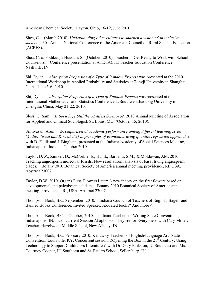American Chemical Society, Dayton, Ohio, 16-19, June 2010.

Shea, C. (March 2010). *Understanding other cultures to sharpen a vision of an inclusive*  society. 30<sup>th</sup> Annual National Conference of the American Council on Rural Special Education (ACRES).

Shea, C. & Podikunju-Hussain, S.. (October, 2010). Teachers - Get Ready to Work with School Counselors. Conference presentation at ATE-IACTE Teacher Education Conference, Nashville, IN.

Shi, Dylan. *Absorption Properties of a Type of Random Process* was presented at the 2010 International Workshop in Applied Probability and Statistics at Tongji University in Shanghai, China, June 5-6, 2010.

Shi, Dylan. *Absorption Properties of a Type of Random Process* was presented at the International Mathematics and Statistics Conference at Southwest Jiaotong University in Chengdu, China, May 21-22, 2010.

Sloss, G. Sam. *Is Sociology Still the ALittlest Science@?.* 2010 Annual Meeting of Association for Applied and Clinical Sociologist. St. Louis, MO. (October 15, 2010).

Srinivasan, Arun. *AComparison of academic performance among different learning styles (Audio, Visual and Kinesthetic) in principles of economics using quantile regression approach*,*@* with D. Faulk and J. Bingham, presented at the Indiana Academy of Social Sciences Meeting, Indianapolis, Indiana, October 2010.

Taylor, D.W., Ziniker, D., McCorkle, E., Hu, S., Barbanti, S.M., & Moldowan, J.M. 2010. Tracking angiosperm molecular fossils: New results from analysis of basal living angiosperm clades. Botany 2010 Botanical Society of America annual meeting, providence, RI, USA. Abstract 23007.

Taylor, D.W. 2010. Organs First, Flowers Later: A new theory on the first flowers based on developmental and paleobotanical data. Botany 2010 Botanical Society of America annual meeting, Providence, RI, USA. Abstract 23007.

Thompson-Book, B.C. September, 2010. Indiana Council of Teachers of English, Bagels and Banned Books Conference; Invited Speaker, *A*X-rated books? And more*@*.

Thompson-Book, B.C. October, 2010. Indiana Teachers of Writing State Conventions, Indianapolis, IN. Concurrrent Session *A*Lapbooks: They*=*re for Everyone.*@* with Cary Miller, Teacher, Hazelwood Middle School, New Albany, IN.

Thompson-Book, B.C. February 2010. Kentucky Teachers of English/Language Arts State Convention, Louisville, KY. Concurrent session, *A*Opening the Box in the 21<sup>st</sup> Century: Using Technology to Support Children*=*s Literature.*@* with Dr. Gary Pinkston, IU Southeast and Ms. Courtney Cooper, IU Southeast and St. Paul*=*s School, Sellersburg, IN.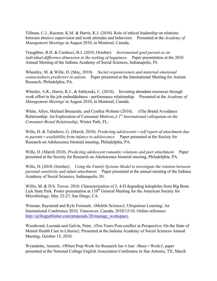Tillman, C.J., Kacmar, K.M. & Harris, K.J. (2010). Role of ethical leadership on relations between abusive supervision and work attitudes and behaviors. Presented at the *Academy of Management Meetings* in August 2010, in Montreal, Canada.

Traughber, B.D. & Carducci, B.J. (2010, October)*. Instrumental goal pursuit as an individual-difference dimension in the seeking of happiness*. Paper presentation at the 2010 Annual Meeting of the Indiana Academy of Social Sciences, Indianapolis, IN.

Wheatley, M. & Wille, D. (May, 2010). *Social responsiveness and maternal emotional connectedness predictors in autism*. Paper presented at the International Meeting for Autism Research, Philadelphia, PA.

Wheeler, A.R., Harris, K.J., & Sablynski, C. (2010). Investing abundant resources through work effort in the job embeddedness - performance relationship. Presented at the *Academy of Management Meetings* in August 2010, in Montreal, Canada.

White, Allyn, Michael Breazeale, and Cynthia Webster (2010). *A*The Brand Avoidance Relationship: An Exploration of Consumer Motives,*@ 1st International colloquium on the Consumer-Brand Relationship*, Winter Park, FL.

Wille, D. & Taliaferro, G. (March, 2010). *Predicting adolescents<sup>=</sup> self report of attachment due to parents<sup>=</sup> availability from infancy to adolescence*. Paper presented at the Society for Research on Adolescence biennial meeting, Philadelphia, PA.

Wille, D. (March 2010). *Predicting adolescent romantic relations and peer attachment*. Paper presented at the Society for Research on Adolescence biennial meeting, Philadelphia, PA.

Wille, D. (2010, October). *Using the Family Systems Model to investigate the relation between parental sensitivity and infant attachment*. Paper presented at the annual meeting of the Indiana Academy of Social Sciences, Indianapolis, IN.

Willis, M. & D.S. Treves. 2010. Characterization of 2, 4-D degrading halophiles from Big Bone Lick State Park. Poster presentation at 110<sup>th</sup> General Meeting for the American Society for Microbiology, May 23-27, San Diego, CA.

Wisman, Raymond and Kyle Forinash. *A*Mobile Science*@*, Ubiquitous Learning: An International Conference 2010, Vancouver, Canada, 2010/12/10. Online reference: http://q10cgpublisher.com/proposals/28/manage\_workspace.

Woodward, Lucinda and Galvin, Peter. *A*Ten Years Post-conflict in Perspective: On the State of Mental Health Care in Liberia*@*, Presented at the Indiana Academy of Social Sciences Annual Meeting, October 15, 2010.

Wyandotte, Annette. *A*When Prep Work for Research Isn*=*t Just *>*Busy*=* Work*@*, paper presented at the National College English Association Conference in San Antonio, TX, March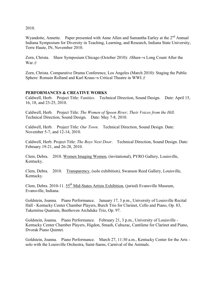2010.

Wyandotte, Annette. Paper presented with Anne Allen and Samantha Earley at the 2<sup>nd</sup> Annual Indiana Symposium for Diversity in Teaching, Learning, and Research, Indiana State University, Terre Haute, IN, November 2010.

Zorn, Christa. Shaw Symposium Chicago (October 2010): *A*Shaw*=*s Long Count After the War.*@*

Zorn, Christa. Comparative Drama Conference, Los Angeles (March 2010): Staging the Public Sphere: Romain Rolland and Karl Kraus*=*s Critical Theatre in WWI.*@*

#### **PERFORMANCES & CREATIVE WORKS**

Caldwell, Herb. Project Title: *Vanities*. Technical Direction, Sound Design. Date: April 15, 16, 18, and 23-25, 2010.

Caldwell, Herb. Project Title: *The Women of Spoon River; Their Voices from the Hill*. Technical Direction, Sound Design. Date: May 7-8, 2010.

Caldwell, Herb. Project Title: *Our Town*. Technical Direction, Sound Design. Date: November 5-7, and 12-14, 2010.

Caldwell, Herb. Project Title: *The Boys Next Door*. Technical Direction, Sound Design. Date: February 19-21, and 26-28, 2010.

Clem, Debra. 2010. Women Imaging Women, (invitational), PYRO Gallery, Louisville, Kentucky.

Clem, Debra. 2010. Transparency, (solo exhibition), Swanson Reed Gallery, Louisville, Kentucky.

Clem, Debra. 2010-11. 55<sup>th</sup> Mid-States Artists Exhibition, (juried) Evansville Museum. Evansville, Indiana.

Goldstein, Joanna. Piano Performance. January 17, 3 p.m., University of Louisville Recital Hall - Kentucky Center Chamber Players, Burch Trio for Clarinet, Cello and Piano, Op. 83, Takemitsu Quatrain, Beethoven Archduke Trio, Op. 97.

Goldstein, Joanna. Piano Performance. February 21, 3 p.m., University of Louisville - Kentucky Center Chamber Players, Higdon, Smash, Cuhuzac, Cantilene for Clarinet and Piano, Dvorak Piano Quintet.

Goldstein, Joanna. Piano Performance. March 27, 11:30 a.m., Kentucky Center for the Arts solo with the Louisville Orchestra, Saint-Saens, Carnival of the Animals.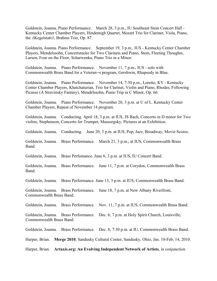Goldstein, Joanna, Piano Performance. March 28, 3 p.m., IU Southeast Stem Concert Hall - Kentucky Center Chamber Players, Hindemigh Quartet, Mozart Trio for Clarinet, Viola, Piano, the *A*Kegelstatt*@*, Brahms Trio, Op. 87.

Goldstein, Joanna. Piano Performance. September 19, 3 p.m., IUS - Kentucky Center Chamber Players, Mendelssohn, Concertstucke for Two Clarinets and Piano, Stem, Fleeting Thoughts, Larsen, Four on the Floor, Scharwenka, Piano Trio in a Minor.

Goldstein, Joanna. Piano Performance. November 11, 7 p.m., IUS - solo with Commonwealth Brass Band for a Veteran*=*s program, Gershwin, Rhapsody in Blue.

Goldstein, Joanna. Piano Performance. November 14, 7:30 p.m., Loretto, KY - Kentucky Center Chamber Players, Khatchaturian, Trio for Clarinet, Violin and Piano, Rhodes, Following Picasso (A Stravinsky Fantasy), Mendelssohn, Piano Trip in C Minor, Op. 66.

Goldstein, Joanna. Piano Performance. November 20, 3 p.m. at U of L. Kentucky Center Chamber Players, Repeat of November 14 program.

Goldstein, Joanna. Conducting. April 18, 3 p.m. at IUS, JS Bach, Concerto in D minor for Two violins, Stephenson, Concerto for Trumpet, Mussorgsky, Pictures at an Exhibition.

Goldstein, Joanna. Conducting. June 20, 3 p.m. at IUS, Pop, Jazz, Broadway, Movie Scores.

Goldstein, Joanna. Brass Performance. March 21, 3 p.m., at IUS, Commonwealth Brass Band.

Goldstein, Joanna. Brass Perfomance. June 6, 3 p.m. at IUS, IU Concert Band.

Goldstein, Joanna. Brass Performance. June 11, 7 p.m. at Corydon, Commonwealth Brass Band.

Goldstein, Joanna. Brass Performance. June 13, 3 p.m. at IUS, Commonwealth Brass Band.

Goldstein, Joanna. Brass Performance. June 18, 7 p.m. at New Albany Riverfront, Commonwealth Brass Band.

Goldstein, Joanna. Brass Performance. Nov. 11, 7 p.m. at IUS, Commonwealth Brass Band.

Goldstein, Joanna. Brass Performance. Dec. 6, 7 p.m. at Holy Spirit Church, Louisville, Commonwealth Brass Band.

Goldstein, Joanna. Brass Performance. Dec. 8, 7:30 p.m. at IU, Commonwealth Brass Band.

Harper, Brian. **Merge 2010**, Sandusky Cultural Center, Sandusky, Ohio, Jan. 10-Feb. 14, 2010.

Harper, Brian. **Artaxis.org: An Evolving Independent Network of Artists**, in conjunction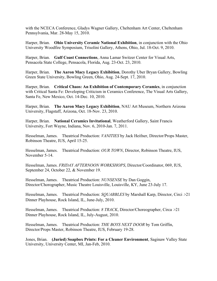with the NCECA Conference, Gladys Wagner Gallery, Cheltenham Art Center, Cheltenham Pennsylvania, Mar. 28-May 15, 2010.

Harper, Brian. **Ohio University Ceramic National Exhibition**, in conjunction with the Ohio University Woodfire Symposium, Trisolini Gallery, Athens, Ohio, Jul. 18-Oct. 9, 2010.

Harper, Brian. **Gulf Coast Connections**, Anna Lamar Switzer Center for Visual Arts, Pensacola State College, Pensacola, Florida, Aug. 23-Oct. 23, 2010.

Harper, Brian. **The Aaron Macy Legacy Exhibition**, Dorothy Uber Bryan Gallery, Bowling Green State University, Bowling Green, Ohio, Aug. 24-Sept. 17, 2010.

Harper, Brian. **Critical Chaos: An Exhibition of Contemporary Ceramics**, in conjunction with Critical Santa Fe: Developing Criticism in Ceramics Conference, The Visual Arts Gallery, Santa Fe, New Mexico, Oct. 14-Dec. 10, 2010.

Harper, Brian. **The Aaron Macy Legacy Exhibition**, NAU Art Museum, Northern Arizona University, Flagstaff, Arizona, Oct. 18-Nov. 23, 2010.

Harper, Brian. **National Ceramics Invitational**, Weatherford Gallery, Saint Francis University, Fort Wayne, Indiana, Nov. 6, 2010-Jan. 7, 2011.

Hesselman, James. Theatrical Production: *VANITIES* by Jack Heifner, Director/Props Master, Robinson Theatre, IUS, April 15-25.

Hesselman, James. Theatrical Production: *OUR TOWN*, Director, Robinson Theatre, IUS, November 5-14.

Hesselman, James. *FRIDAY AFTERNOON WORKSHOPS*, Director/Coordinator, 069, IUS, September 24, October 22, & November 19.

Hesselman, James. Theatrical Production: *NUNSENSE* by Dan Goggin, Director/Chorographer, Music Theatre Louisville, Louisville, KY, June 23-July 17.

Hesselman, James. Theatrical Production: *SQUABBLES* by Marshall Karp, Director, Circi *>*21 Dinner Playhouse, Rock Island, IL, June-July, 2010.

Hesselman, James. Theatrical Production: *8 TRACK*, Director/Choreographer, Circa *>*21 Dinner Playhouse, Rock Island, IL, July-August, 2010.

Hesselman, James. Theatrical Production: *THE BOYS NEXT DOOR* by Tom Griffin, Director/Props Master, Robinson Theatre, IUS, February 19-28.

Jones, Brian. **(Juried) Soapbox Prints: For a Cleaner Environment**, Saginaw Valley State University, University Center, MI, Jan-Feb, 2010.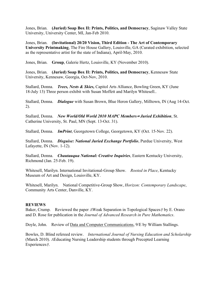Jones, Brian. **(Juried) Soap Box II: Prints, Politics, and Democracy**, Saginaw Valley State University, University Center, MI, Jan-Feb 2010.

Jones, Brian. **(Invitational) 20/20 Vision, Third Edition - The Art of Contemporary University Printmaking**, The Fire House Gallery, Louisville, GA (Curated exhibition, selected as the representative artist for the state of Indiana), April-May, 2010.

Jones, Brian. **Group**, Galerie Hertz, Louisville, KY (November 2010).

Jones, Brian. **(Juried) Soap Box II: Prints, Politics, and Democracy**, Kennesaw State University, Kennesaw, Georgia, Oct-Nov, 2010.

Stallard, Donna. *Trees, Nests & Skies,* Capitol Arts Alliance, Bowling Green, KY (June 18-July 13) Three person exhibit with Susan Moffett and Marilyn Whitesell..

Stallard, Donna. *Dialogue* with Susan Brown, Blue Heron Gallery, Milltown, IN (Aug 14-Oct. 2).

Stallard, Donna. *New World/Old World 2010 MAPC Members<sup>=</sup> Juried Exhibition*, St. Catherine University, St. Paul, MN (Sept. 13-Oct. 31).

Stallard, Donna. *ImPrint*, Georgetown College, Georgetown, KY (Oct. 15-Nov. 22).

Stallard, Donna. *Disguise: National Juried Exchange Portfolio*, Purdue University, West Lafayette, IN (Nov. 1-12).

Stallard, Donna. *Chautauqua National: Creative Inquiries*, Eastern Kentucky University, Richmond (Jan. 25-Feb. 19).

Whitesell, Marilyn. International Invitational-Group Show. *Rooted in Place*, Kentucky Museum of Art and Design, Louisville, KY.

Whitesell, Marilyn. National Competitive-Group Show, *Horizon: Contemporary Landscape*, Community Arts Center, Danville, KY.

#### **REVIEWS**

Baker, Crump. Reviewed the paper *A*Weak Separation in Topological Spaces*@* by E. Orano and D. Rose for publication in the *Journal of Advanced Research in Pure Mathematics*.

Doyle, John. Review of Data and Computer Communications, 9/E by William Stallings.

Bowles, D. Blind refereed review. *International Journal of Nursing Education and Scholarship*  (March 2010). *A*Educating Nursing Leadership students through Precepted Learning Experiences*@*.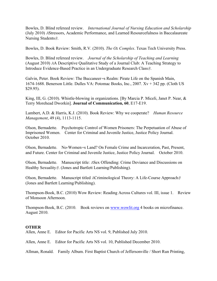Bowles, D. Blind refereed review. *International Journal of Nursing Education and Scholarship*  (July 2010) *A*Stressors, Academic Performance, and Learned Resourcefulness in Baccalaureate Nursing Students*@*.

Bowles, D. Book Review: Smith, R.V. (2010). *The Oz Complex*. Texas Tech University Press.

Bowles, D. Blind refereed review. *Journal of the Scholarship of Teaching and Learning*  (August 2010) *A*A Descriptive Qualitative Study of a Journal Club: A Teaching Strategy to Introduce Evidence-Based Practice in an Undergraduate Research Class*@*.

Galvin, Peter. Book Review: The Buccaneer*=*s Realm: Pirate Life on the Spanish Main, 1674-1688. Benerson Little. Dulles VA: Potomac Books, Inc., 2007. Xv + 342 pp. (Cloth US \$29.95).

King, III, G. (2010). Whistle-blowing in organizations. [By Marcia P. Miceli, Janet P. Near, & Terry Morehead Dworkin]. **Journal of Communication, 60**, E17-E19.

Lambert, A.D. & Harris, K.J. (2010). Book Review: Why we cooperate? *Human Resource Management*, 49 (4), 1113-1115.

Olson, Bernadette. Psychotropic Control of Women Prisoners: The Perpetuation of Abuse of Imprisoned Women. Center for Criminal and Juvenile Justice, Justice Policy Journal. October 2010.

Olson, Bernadette. No-Women*=*s Land? On Female Crime and Incarceration, Past, Present, and Future. Center for Criminal and Juvenile Justice, Justice Policy Journal. October 2010.

Olson, Bernadette. Manuscript title: *A*Sex Offending: Crime Deviance and Discussions on Healthy Sexuality*@*. (Jones and Bartlett Learning/Publishing).

Olson, Bernadette. Manuscript titled *A*Criminological Theory: A Life-Course Approach*@* (Jones and Bartlett Learning/Publishing).

Thompson-Book, B.C. (2010) Wow Review: Reading Across Cultures vol. III, issue 1. Review of Monsoon Afternoon.

Thompson-Book, B.C. (2010. Book reviews on www.wowlit.org 4 books on microfinance. August 2010.

# **OTHER**

Allen, Anne E. Editor for Pacific Arts NS vol. 9, Published July 2010.

Allen, Anne E. Editor for Pacific Arts NS vol. 10, Published December 2010.

Allman, Ronald. Family Album. First Baptist Church of Jeffersonville / Short Run Printing,